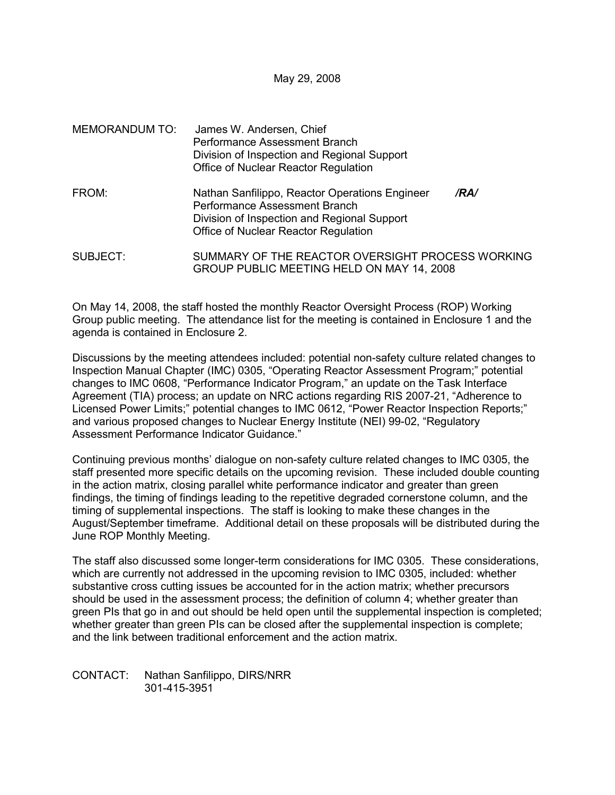May 29, 2008

| MEMORANDUM TO: | James W. Andersen, Chief<br>Performance Assessment Branch<br>Division of Inspection and Regional Support<br>Office of Nuclear Reactor Regulation                               |
|----------------|--------------------------------------------------------------------------------------------------------------------------------------------------------------------------------|
| FROM:          | Nathan Sanfilippo, Reactor Operations Engineer<br>/RA/<br>Performance Assessment Branch<br>Division of Inspection and Regional Support<br>Office of Nuclear Reactor Regulation |
| SUBJECT:       | SUMMARY OF THE REACTOR OVERSIGHT PROCESS WORKING<br>GROUP PUBLIC MEETING HELD ON MAY 14, 2008                                                                                  |

On May 14, 2008, the staff hosted the monthly Reactor Oversight Process (ROP) Working Group public meeting. The attendance list for the meeting is contained in Enclosure 1 and the agenda is contained in Enclosure 2.

Discussions by the meeting attendees included: potential non-safety culture related changes to Inspection Manual Chapter (IMC) 0305, "Operating Reactor Assessment Program;" potential changes to IMC 0608, "Performance Indicator Program," an update on the Task Interface Agreement (TIA) process; an update on NRC actions regarding RIS 2007-21, "Adherence to Licensed Power Limits;" potential changes to IMC 0612, "Power Reactor Inspection Reports;" and various proposed changes to Nuclear Energy Institute (NEI) 99-02, "Regulatory Assessment Performance Indicator Guidance."

Continuing previous months' dialogue on non-safety culture related changes to IMC 0305, the staff presented more specific details on the upcoming revision. These included double counting in the action matrix, closing parallel white performance indicator and greater than green findings, the timing of findings leading to the repetitive degraded cornerstone column, and the timing of supplemental inspections. The staff is looking to make these changes in the August/September timeframe. Additional detail on these proposals will be distributed during the June ROP Monthly Meeting.

The staff also discussed some longer-term considerations for IMC 0305. These considerations, which are currently not addressed in the upcoming revision to IMC 0305, included: whether substantive cross cutting issues be accounted for in the action matrix; whether precursors should be used in the assessment process; the definition of column 4; whether greater than green PIs that go in and out should be held open until the supplemental inspection is completed; whether greater than green PIs can be closed after the supplemental inspection is complete; and the link between traditional enforcement and the action matrix.

CONTACT: Nathan Sanfilippo, DIRS/NRR 301-415-3951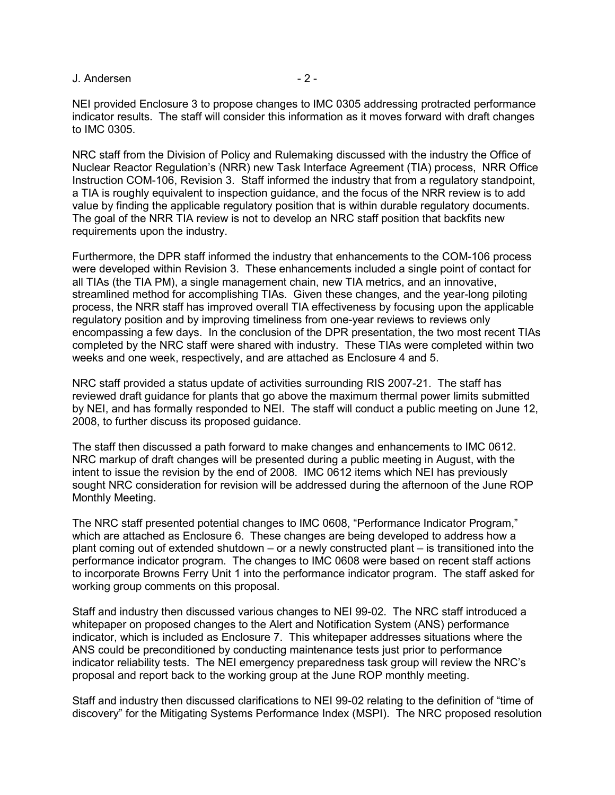NEI provided Enclosure 3 to propose changes to IMC 0305 addressing protracted performance indicator results. The staff will consider this information as it moves forward with draft changes to IMC 0305.

NRC staff from the Division of Policy and Rulemaking discussed with the industry the Office of Nuclear Reactor Regulation's (NRR) new Task Interface Agreement (TIA) process, NRR Office Instruction COM-106, Revision 3. Staff informed the industry that from a regulatory standpoint, a TIA is roughly equivalent to inspection guidance, and the focus of the NRR review is to add value by finding the applicable regulatory position that is within durable regulatory documents. The goal of the NRR TIA review is not to develop an NRC staff position that backfits new requirements upon the industry.

Furthermore, the DPR staff informed the industry that enhancements to the COM-106 process were developed within Revision 3. These enhancements included a single point of contact for all TIAs (the TIA PM), a single management chain, new TIA metrics, and an innovative, streamlined method for accomplishing TIAs. Given these changes, and the year-long piloting process, the NRR staff has improved overall TIA effectiveness by focusing upon the applicable regulatory position and by improving timeliness from one-year reviews to reviews only encompassing a few days. In the conclusion of the DPR presentation, the two most recent TIAs completed by the NRC staff were shared with industry. These TIAs were completed within two weeks and one week, respectively, and are attached as Enclosure 4 and 5.

NRC staff provided a status update of activities surrounding RIS 2007-21. The staff has reviewed draft guidance for plants that go above the maximum thermal power limits submitted by NEI, and has formally responded to NEI. The staff will conduct a public meeting on June 12, 2008, to further discuss its proposed guidance.

The staff then discussed a path forward to make changes and enhancements to IMC 0612. NRC markup of draft changes will be presented during a public meeting in August, with the intent to issue the revision by the end of 2008. IMC 0612 items which NEI has previously sought NRC consideration for revision will be addressed during the afternoon of the June ROP Monthly Meeting.

The NRC staff presented potential changes to IMC 0608, "Performance Indicator Program," which are attached as Enclosure 6. These changes are being developed to address how a plant coming out of extended shutdown – or a newly constructed plant – is transitioned into the performance indicator program. The changes to IMC 0608 were based on recent staff actions to incorporate Browns Ferry Unit 1 into the performance indicator program. The staff asked for working group comments on this proposal.

Staff and industry then discussed various changes to NEI 99-02. The NRC staff introduced a whitepaper on proposed changes to the Alert and Notification System (ANS) performance indicator, which is included as Enclosure 7. This whitepaper addresses situations where the ANS could be preconditioned by conducting maintenance tests just prior to performance indicator reliability tests. The NEI emergency preparedness task group will review the NRC's proposal and report back to the working group at the June ROP monthly meeting.

Staff and industry then discussed clarifications to NEI 99-02 relating to the definition of "time of discovery" for the Mitigating Systems Performance Index (MSPI). The NRC proposed resolution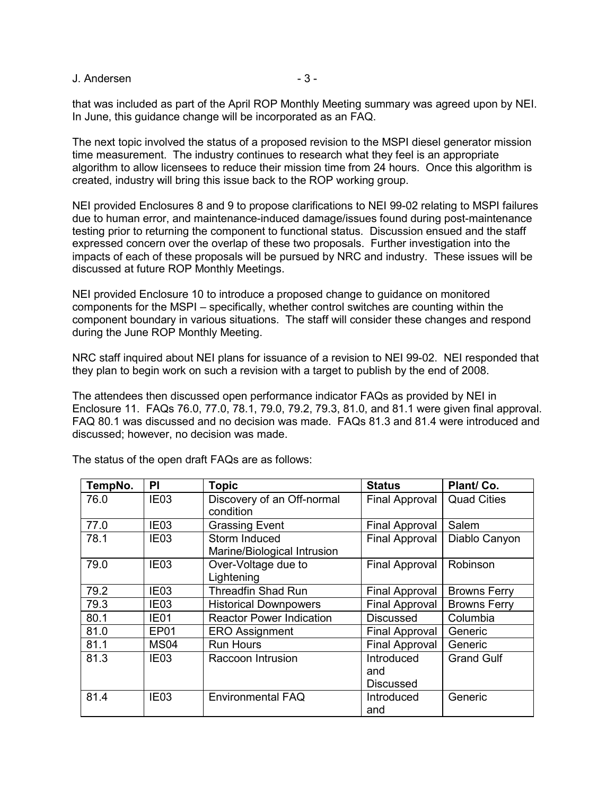that was included as part of the April ROP Monthly Meeting summary was agreed upon by NEI. In June, this guidance change will be incorporated as an FAQ.

The next topic involved the status of a proposed revision to the MSPI diesel generator mission time measurement. The industry continues to research what they feel is an appropriate algorithm to allow licensees to reduce their mission time from 24 hours. Once this algorithm is created, industry will bring this issue back to the ROP working group.

NEI provided Enclosures 8 and 9 to propose clarifications to NEI 99-02 relating to MSPI failures due to human error, and maintenance-induced damage/issues found during post-maintenance testing prior to returning the component to functional status. Discussion ensued and the staff expressed concern over the overlap of these two proposals. Further investigation into the impacts of each of these proposals will be pursued by NRC and industry. These issues will be discussed at future ROP Monthly Meetings.

NEI provided Enclosure 10 to introduce a proposed change to guidance on monitored components for the MSPI – specifically, whether control switches are counting within the component boundary in various situations. The staff will consider these changes and respond during the June ROP Monthly Meeting.

NRC staff inquired about NEI plans for issuance of a revision to NEI 99-02. NEI responded that they plan to begin work on such a revision with a target to publish by the end of 2008.

The attendees then discussed open performance indicator FAQs as provided by NEI in Enclosure 11. FAQs 76.0, 77.0, 78.1, 79.0, 79.2, 79.3, 81.0, and 81.1 were given final approval. FAQ 80.1 was discussed and no decision was made. FAQs 81.3 and 81.4 were introduced and discussed; however, no decision was made.

| TempNo. | PI               | <b>Topic</b>                                                          | <b>Status</b>         | Plant/Co.           |
|---------|------------------|-----------------------------------------------------------------------|-----------------------|---------------------|
| 76.0    | IE <sub>03</sub> | Discovery of an Off-normal<br><b>Final Approval</b><br>condition      |                       | <b>Quad Cities</b>  |
| 77.0    | IE <sub>03</sub> | <b>Grassing Event</b>                                                 | <b>Final Approval</b> | Salem               |
| 78.1    | IE <sub>03</sub> | Storm Induced<br><b>Final Approval</b><br>Marine/Biological Intrusion |                       | Diablo Canyon       |
| 79.0    | IE <sub>03</sub> | Over-Voltage due to<br><b>Final Approval</b><br>Lightening            |                       | Robinson            |
| 79.2    | IE <sub>03</sub> | <b>Threadfin Shad Run</b><br><b>Final Approval</b>                    |                       | <b>Browns Ferry</b> |
| 79.3    | IE03             | <b>Final Approval</b><br><b>Historical Downpowers</b>                 |                       | <b>Browns Ferry</b> |
| 80.1    | IE01             | <b>Reactor Power Indication</b><br><b>Discussed</b>                   |                       | Columbia            |
| 81.0    | EP01             | <b>Final Approval</b><br><b>ERO</b> Assignment                        |                       | Generic             |
| 81.1    | MS <sub>04</sub> | <b>Run Hours</b><br><b>Final Approval</b>                             |                       | Generic             |
| 81.3    | IE <sub>03</sub> | Raccoon Intrusion<br>Introduced<br>and<br><b>Discussed</b>            |                       | <b>Grand Gulf</b>   |
| 81.4    | IE <sub>03</sub> | <b>Environmental FAQ</b><br>Introduced<br>and                         |                       | Generic             |

The status of the open draft FAQs are as follows: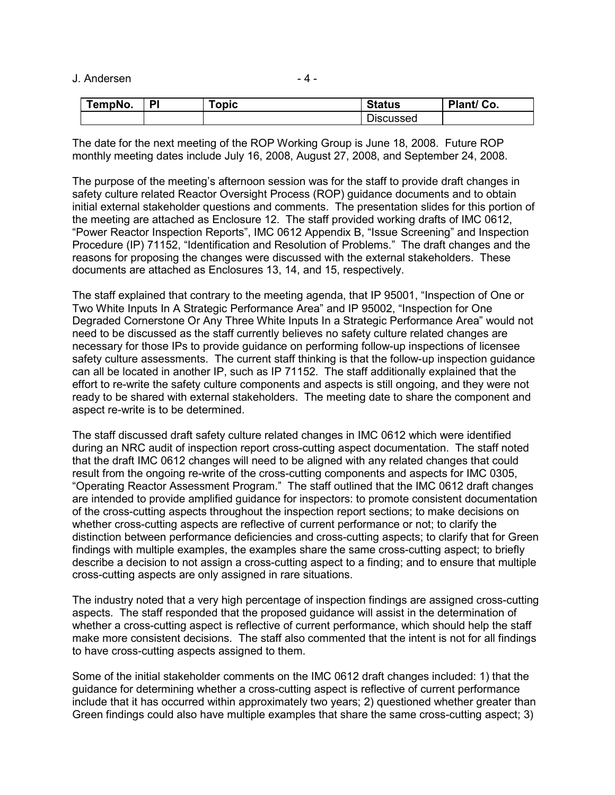| TempNo. | DI | opic | <b>Status</b> | Plant/ Co. |
|---------|----|------|---------------|------------|
|         |    |      | Discussed     |            |

The date for the next meeting of the ROP Working Group is June 18, 2008. Future ROP monthly meeting dates include July 16, 2008, August 27, 2008, and September 24, 2008.

The purpose of the meeting's afternoon session was for the staff to provide draft changes in safety culture related Reactor Oversight Process (ROP) guidance documents and to obtain initial external stakeholder questions and comments. The presentation slides for this portion of the meeting are attached as Enclosure 12. The staff provided working drafts of IMC 0612, "Power Reactor Inspection Reports", IMC 0612 Appendix B, "Issue Screening" and Inspection Procedure (IP) 71152, "Identification and Resolution of Problems." The draft changes and the reasons for proposing the changes were discussed with the external stakeholders. These documents are attached as Enclosures 13, 14, and 15, respectively.

The staff explained that contrary to the meeting agenda, that IP 95001, "Inspection of One or Two White Inputs In A Strategic Performance Area" and IP 95002, "Inspection for One Degraded Cornerstone Or Any Three White Inputs In a Strategic Performance Area" would not need to be discussed as the staff currently believes no safety culture related changes are necessary for those IPs to provide guidance on performing follow-up inspections of licensee safety culture assessments. The current staff thinking is that the follow-up inspection guidance can all be located in another IP, such as IP 71152. The staff additionally explained that the effort to re-write the safety culture components and aspects is still ongoing, and they were not ready to be shared with external stakeholders. The meeting date to share the component and aspect re-write is to be determined.

The staff discussed draft safety culture related changes in IMC 0612 which were identified during an NRC audit of inspection report cross-cutting aspect documentation. The staff noted that the draft IMC 0612 changes will need to be aligned with any related changes that could result from the ongoing re-write of the cross-cutting components and aspects for IMC 0305, "Operating Reactor Assessment Program." The staff outlined that the IMC 0612 draft changes are intended to provide amplified guidance for inspectors: to promote consistent documentation of the cross-cutting aspects throughout the inspection report sections; to make decisions on whether cross-cutting aspects are reflective of current performance or not; to clarify the distinction between performance deficiencies and cross-cutting aspects; to clarify that for Green findings with multiple examples, the examples share the same cross-cutting aspect; to briefly describe a decision to not assign a cross-cutting aspect to a finding; and to ensure that multiple cross-cutting aspects are only assigned in rare situations.

The industry noted that a very high percentage of inspection findings are assigned cross-cutting aspects. The staff responded that the proposed guidance will assist in the determination of whether a cross-cutting aspect is reflective of current performance, which should help the staff make more consistent decisions. The staff also commented that the intent is not for all findings to have cross-cutting aspects assigned to them.

Some of the initial stakeholder comments on the IMC 0612 draft changes included: 1) that the guidance for determining whether a cross-cutting aspect is reflective of current performance include that it has occurred within approximately two years; 2) questioned whether greater than Green findings could also have multiple examples that share the same cross-cutting aspect; 3)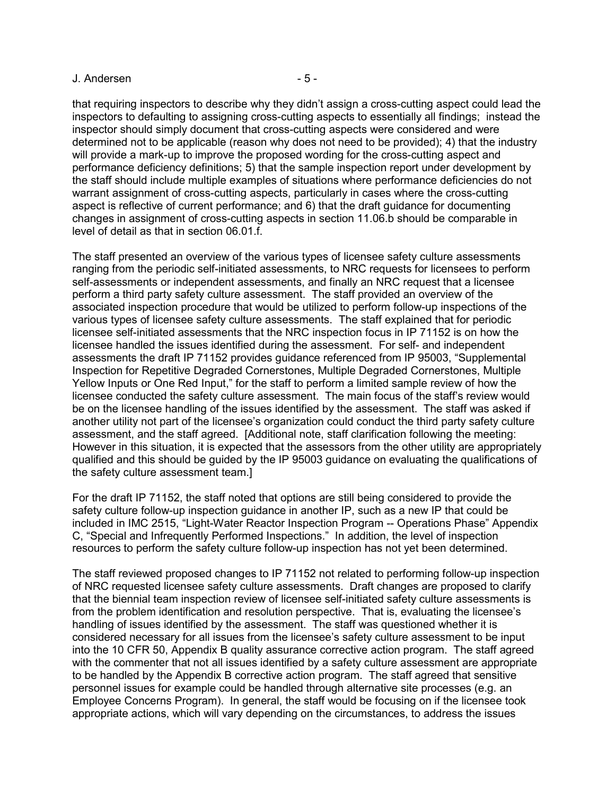that requiring inspectors to describe why they didn't assign a cross-cutting aspect could lead the inspectors to defaulting to assigning cross-cutting aspects to essentially all findings; instead the inspector should simply document that cross-cutting aspects were considered and were determined not to be applicable (reason why does not need to be provided); 4) that the industry will provide a mark-up to improve the proposed wording for the cross-cutting aspect and performance deficiency definitions; 5) that the sample inspection report under development by the staff should include multiple examples of situations where performance deficiencies do not warrant assignment of cross-cutting aspects, particularly in cases where the cross-cutting aspect is reflective of current performance; and 6) that the draft guidance for documenting changes in assignment of cross-cutting aspects in section 11.06.b should be comparable in level of detail as that in section 06.01.f.

The staff presented an overview of the various types of licensee safety culture assessments ranging from the periodic self-initiated assessments, to NRC requests for licensees to perform self-assessments or independent assessments, and finally an NRC request that a licensee perform a third party safety culture assessment. The staff provided an overview of the associated inspection procedure that would be utilized to perform follow-up inspections of the various types of licensee safety culture assessments. The staff explained that for periodic licensee self-initiated assessments that the NRC inspection focus in IP 71152 is on how the licensee handled the issues identified during the assessment. For self- and independent assessments the draft IP 71152 provides guidance referenced from IP 95003, "Supplemental Inspection for Repetitive Degraded Cornerstones, Multiple Degraded Cornerstones, Multiple Yellow Inputs or One Red Input," for the staff to perform a limited sample review of how the licensee conducted the safety culture assessment. The main focus of the staff's review would be on the licensee handling of the issues identified by the assessment. The staff was asked if another utility not part of the licensee's organization could conduct the third party safety culture assessment, and the staff agreed. [Additional note, staff clarification following the meeting: However in this situation, it is expected that the assessors from the other utility are appropriately qualified and this should be guided by the IP 95003 guidance on evaluating the qualifications of the safety culture assessment team.]

For the draft IP 71152, the staff noted that options are still being considered to provide the safety culture follow-up inspection guidance in another IP, such as a new IP that could be included in IMC 2515, "Light-Water Reactor Inspection Program -- Operations Phase" Appendix C, "Special and Infrequently Performed Inspections." In addition, the level of inspection resources to perform the safety culture follow-up inspection has not yet been determined.

The staff reviewed proposed changes to IP 71152 not related to performing follow-up inspection of NRC requested licensee safety culture assessments. Draft changes are proposed to clarify that the biennial team inspection review of licensee self-initiated safety culture assessments is from the problem identification and resolution perspective. That is, evaluating the licensee's handling of issues identified by the assessment. The staff was questioned whether it is considered necessary for all issues from the licensee's safety culture assessment to be input into the 10 CFR 50, Appendix B quality assurance corrective action program. The staff agreed with the commenter that not all issues identified by a safety culture assessment are appropriate to be handled by the Appendix B corrective action program. The staff agreed that sensitive personnel issues for example could be handled through alternative site processes (e.g. an Employee Concerns Program). In general, the staff would be focusing on if the licensee took appropriate actions, which will vary depending on the circumstances, to address the issues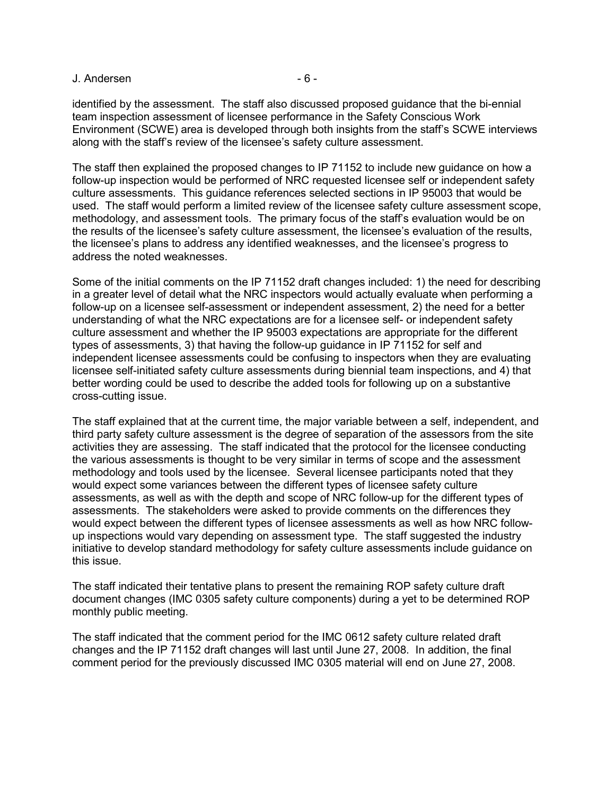identified by the assessment. The staff also discussed proposed guidance that the bi-ennial team inspection assessment of licensee performance in the Safety Conscious Work Environment (SCWE) area is developed through both insights from the staff's SCWE interviews along with the staff's review of the licensee's safety culture assessment.

The staff then explained the proposed changes to IP 71152 to include new guidance on how a follow-up inspection would be performed of NRC requested licensee self or independent safety culture assessments. This guidance references selected sections in IP 95003 that would be used. The staff would perform a limited review of the licensee safety culture assessment scope, methodology, and assessment tools. The primary focus of the staff's evaluation would be on the results of the licensee's safety culture assessment, the licensee's evaluation of the results, the licensee's plans to address any identified weaknesses, and the licensee's progress to address the noted weaknesses.

Some of the initial comments on the IP 71152 draft changes included: 1) the need for describing in a greater level of detail what the NRC inspectors would actually evaluate when performing a follow-up on a licensee self-assessment or independent assessment, 2) the need for a better understanding of what the NRC expectations are for a licensee self- or independent safety culture assessment and whether the IP 95003 expectations are appropriate for the different types of assessments, 3) that having the follow-up guidance in IP 71152 for self and independent licensee assessments could be confusing to inspectors when they are evaluating licensee self-initiated safety culture assessments during biennial team inspections, and 4) that better wording could be used to describe the added tools for following up on a substantive cross-cutting issue.

The staff explained that at the current time, the major variable between a self, independent, and third party safety culture assessment is the degree of separation of the assessors from the site activities they are assessing. The staff indicated that the protocol for the licensee conducting the various assessments is thought to be very similar in terms of scope and the assessment methodology and tools used by the licensee. Several licensee participants noted that they would expect some variances between the different types of licensee safety culture assessments, as well as with the depth and scope of NRC follow-up for the different types of assessments. The stakeholders were asked to provide comments on the differences they would expect between the different types of licensee assessments as well as how NRC followup inspections would vary depending on assessment type. The staff suggested the industry initiative to develop standard methodology for safety culture assessments include guidance on this issue.

The staff indicated their tentative plans to present the remaining ROP safety culture draft document changes (IMC 0305 safety culture components) during a yet to be determined ROP monthly public meeting.

The staff indicated that the comment period for the IMC 0612 safety culture related draft changes and the IP 71152 draft changes will last until June 27, 2008. In addition, the final comment period for the previously discussed IMC 0305 material will end on June 27, 2008.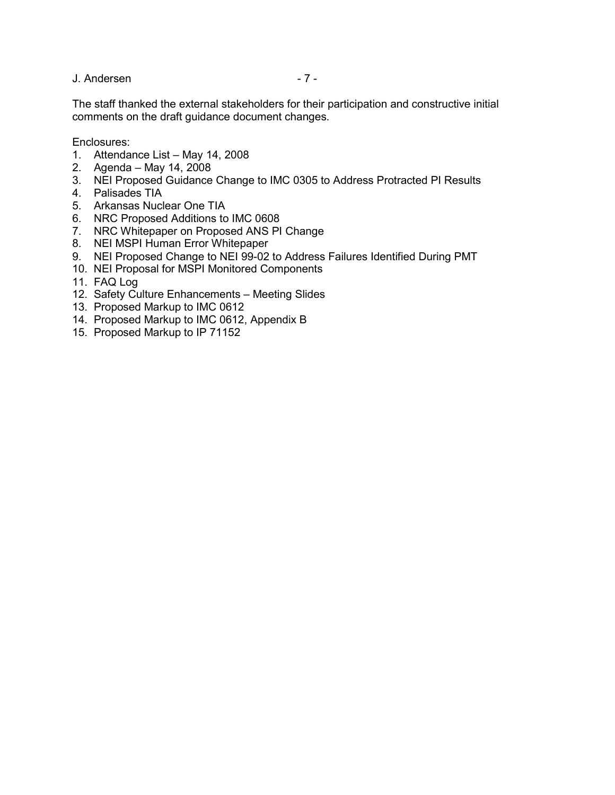The staff thanked the external stakeholders for their participation and constructive initial comments on the draft guidance document changes.

Enclosures:

- 1. Attendance List May 14, 2008
- 2. Agenda May 14, 2008
- 3. NEI Proposed Guidance Change to IMC 0305 to Address Protracted PI Results
- 4. Palisades TIA
- 5. Arkansas Nuclear One TIA
- 6. NRC Proposed Additions to IMC 0608
- 7. NRC Whitepaper on Proposed ANS PI Change
- 8. NEI MSPI Human Error Whitepaper
- 9. NEI Proposed Change to NEI 99-02 to Address Failures Identified During PMT
- 10. NEI Proposal for MSPI Monitored Components
- 11. FAQ Log
- 12. Safety Culture Enhancements Meeting Slides
- 13. Proposed Markup to IMC 0612
- 14. Proposed Markup to IMC 0612, Appendix B
- 15. Proposed Markup to IP 71152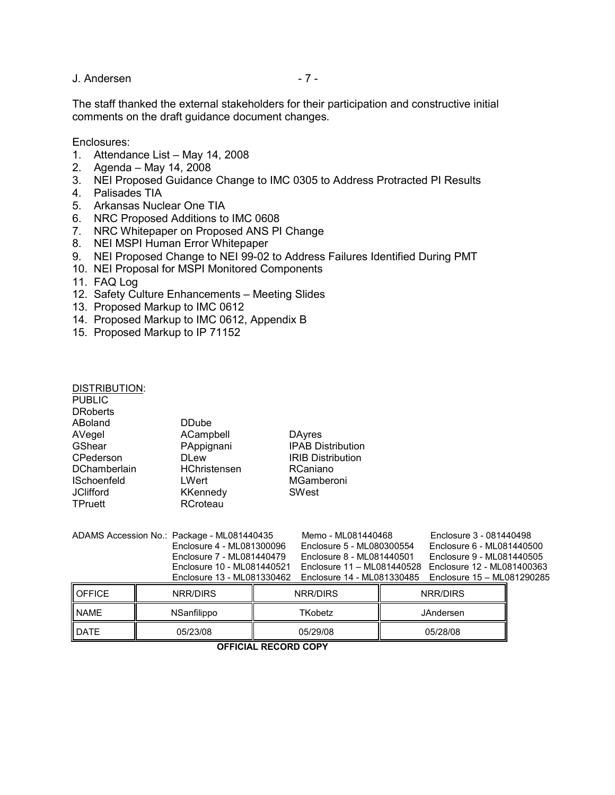## J. Andersen - 7 - 7 -

The staff thanked the external stakeholders for their participation and constructive initial comments on the draft guidance document changes.

Enclosures:

- 1. Attendance List May 14, 2008
- 2. Agenda May 14, 2008
- 3. NEI Proposed Guidance Change to IMC 0305 to Address Protracted PI Results
- 4. Palisades TIA
- 5. Arkansas Nuclear One TIA
- 6. NRC Proposed Additions to IMC 0608
- 7. NRC Whitepaper on Proposed ANS PI Change
- 8. NEI MSPI Human Error Whitepaper
- 9. NEI Proposed Change to NEI 99-02 to Address Failures Identified During PMT
- 10. NEI Proposal for MSPI Monitored Components
- 11. FAQ Log
- 12. Safety Culture Enhancements Meeting Slides
- 13. Proposed Markup to IMC 0612
- 14. Proposed Markup to IMC 0612, Appendix B
- 15. Proposed Markup to IP 71152

| DISTRIBUTION:<br>PUBLIC<br>DRoberts |                                            |                            |                            |  |
|-------------------------------------|--------------------------------------------|----------------------------|----------------------------|--|
| ABoland                             | <b>DDube</b>                               |                            |                            |  |
| AVegel                              | ACampbell                                  | <b>DAyres</b>              |                            |  |
| GShear                              | PAppignani                                 | <b>IPAB Distribution</b>   |                            |  |
| CPederson                           | DI ew                                      | <b>IRIB Distribution</b>   |                            |  |
| DChamberlain                        | HChristensen                               | RCaniano                   |                            |  |
| ISchoenfeld                         | <b>LWert</b>                               | MGamberoni                 |                            |  |
| JClifford                           | <b>KKennedy</b>                            | <b>SWest</b>               |                            |  |
| TPruett                             | RCroteau                                   |                            |                            |  |
|                                     | ADAMS Accession No.: Package - ML081440435 | Memo - ML081440468         | Enclosure 3 - 081440498    |  |
|                                     | Enclosure 4 - ML081300096                  | Enclosure 5 - ML080300554  | Enclosure 6 - ML081440500  |  |
|                                     | Enclosure 7 - ML081440479                  | Enclosure 8 - ML081440501  | Enclosure 9 - ML081440505  |  |
|                                     | Enclosure 10 - ML081440521                 | Enclosure 11 - ML081440528 | Enclosure 12 - ML081400363 |  |
|                                     | Enclosure 13 - ML081330462                 | Enclosure 14 - ML081330485 | Enclosure 15 - ML081290285 |  |
| <b>OFFICE</b>                       | NRR/DIRS                                   | <b>NRR/DIRS</b>            | <b>NRR/DIRS</b>            |  |

NAME | NSanfilippo | TKobetz | JAndersen DATE 05/23/08 05/29/08 05/28/08

**OFFICIAL RECORD COPY**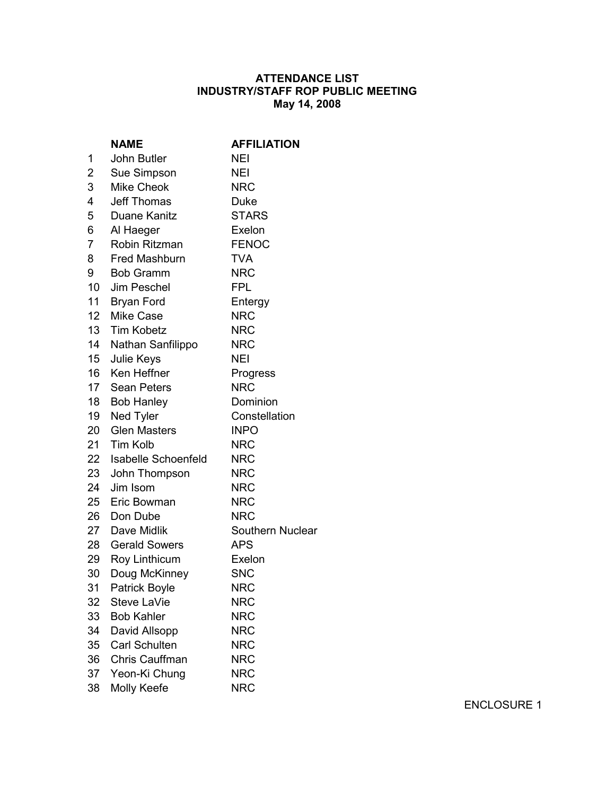## **ATTENDANCE LIST INDUSTRY/STAFF ROP PUBLIC MEETING May 14, 2008**

|                 | <b>NAME</b>                   | <b>AFFILIATION</b> |
|-----------------|-------------------------------|--------------------|
| 1               | John Butler                   | NEI                |
| $\overline{c}$  | Sue Simpson                   | <b>NEI</b>         |
| 3               | <b>Mike Cheok</b>             | <b>NRC</b>         |
| 4               | <b>Jeff Thomas</b>            | Duke               |
| 5               | Duane Kanitz                  | <b>STARS</b>       |
| 6               | Al Haeger                     | Exelon             |
| $\overline{7}$  | Robin Ritzman                 | <b>FENOC</b>       |
| 8               | Fred Mashburn                 | <b>TVA</b>         |
| 9               | <b>Bob Gramm</b>              | <b>NRC</b>         |
| $10-10$         | <b>Jim Peschel</b>            | <b>FPL</b>         |
| 11              | <b>Bryan Ford</b>             | Entergy            |
| 12              | <b>Mike Case</b>              | <b>NRC</b>         |
| 13 <sup>7</sup> | <b>Tim Kobetz</b>             | <b>NRC</b>         |
| 14              | Nathan Sanfilippo             | <b>NRC</b>         |
| 15              | Julie Keys                    | <b>NEI</b>         |
| 16              | Ken Heffner                   | Progress           |
| 17              | <b>Sean Peters</b>            | <b>NRC</b>         |
| 18              | Dominion<br><b>Bob Hanley</b> |                    |
| 19              | Ned Tyler                     | Constellation      |
| 20              | <b>Glen Masters</b>           | <b>INPO</b>        |
| 21              | Tim Kolb                      | <b>NRC</b>         |
| 22              | Isabelle Schoenfeld           | <b>NRC</b>         |
| 23              | John Thompson                 | <b>NRC</b>         |
| 24              | Jim Isom                      | <b>NRC</b>         |
| 25              | Eric Bowman                   | <b>NRC</b>         |
| 26              | Don Dube                      | <b>NRC</b>         |
| 27              | Dave Midlik                   | Southern Nuclear   |
| 28              | <b>Gerald Sowers</b>          | <b>APS</b>         |
| 29              | Roy Linthicum                 | Exelon             |
| 30              | Doug McKinney                 | <b>SNC</b>         |
| 31              | Patrick Boyle                 | <b>NRC</b>         |
| 32              | Steve LaVie                   | <b>NRC</b>         |
| 33              | <b>Bob Kahler</b>             | <b>NRC</b>         |
| 34              | David Allsopp                 | <b>NRC</b>         |
| 35              | <b>Carl Schulten</b>          | <b>NRC</b>         |
| 36              | Chris Cauffman                | <b>NRC</b>         |
| 37              | Yeon-Ki Chung                 | <b>NRC</b>         |
| 38              | Molly Keefe                   | <b>NRC</b>         |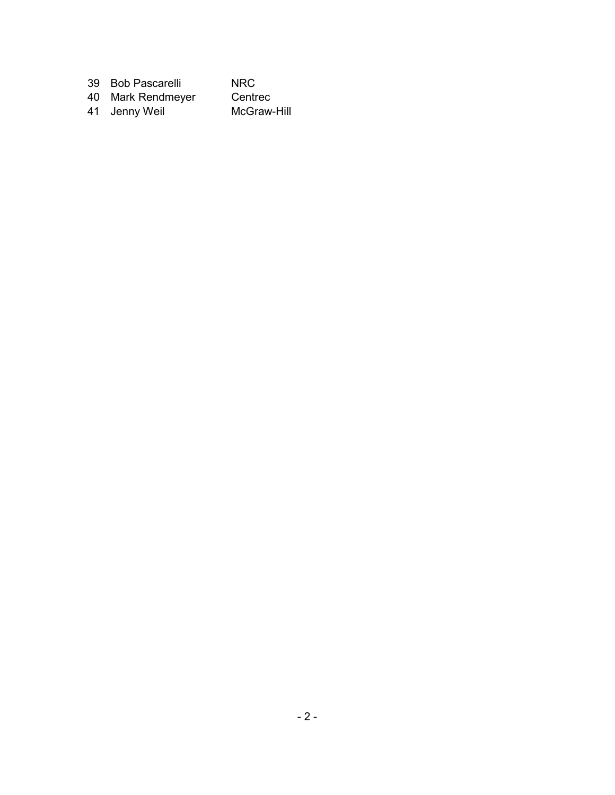| 39 Bob Pascarelli | NRC.        |
|-------------------|-------------|
| 40 Mark Rendmeyer | Centrec     |
| 41 Jenny Weil     | McGraw-Hill |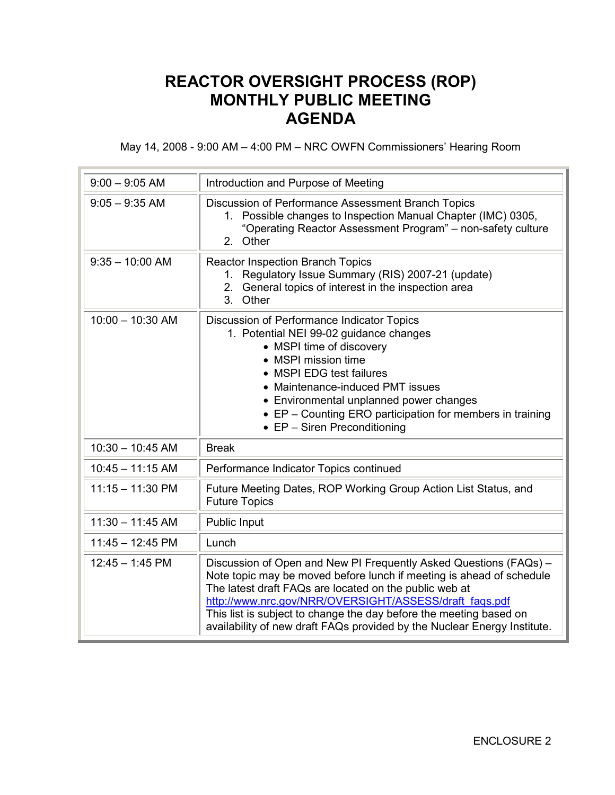# **REACTOR OVERSIGHT PROCESS (ROP) MONTHLY PUBLIC MEETING AGENDA**

May 14, 2008 - 9:00 AM – 4:00 PM – NRC OWFN Commissioners' Hearing Room

| $9:00 - 9:05$ AM   | Introduction and Purpose of Meeting                                                                                                                                                                                                                                                                                                                                                                             |
|--------------------|-----------------------------------------------------------------------------------------------------------------------------------------------------------------------------------------------------------------------------------------------------------------------------------------------------------------------------------------------------------------------------------------------------------------|
| $9:05 - 9:35$ AM   | Discussion of Performance Assessment Branch Topics<br>Possible changes to Inspection Manual Chapter (IMC) 0305,<br>1.<br>"Operating Reactor Assessment Program" - non-safety culture<br>2. Other                                                                                                                                                                                                                |
| $9:35 - 10:00$ AM  | <b>Reactor Inspection Branch Topics</b><br>Regulatory Issue Summary (RIS) 2007-21 (update)<br>$1_{-}$<br>General topics of interest in the inspection area<br>2.<br>3. Other                                                                                                                                                                                                                                    |
| $10:00 - 10:30$ AM | Discussion of Performance Indicator Topics<br>1. Potential NEI 99-02 guidance changes<br>• MSPI time of discovery<br>• MSPI mission time<br>• MSPI EDG test failures<br>• Maintenance-induced PMT issues<br>• Environmental unplanned power changes<br>• EP - Counting ERO participation for members in training<br>$\bullet$ EP - Siren Preconditioning                                                        |
| $10:30 - 10:45$ AM | <b>Break</b>                                                                                                                                                                                                                                                                                                                                                                                                    |
| $10:45 - 11:15$ AM | Performance Indicator Topics continued                                                                                                                                                                                                                                                                                                                                                                          |
| $11:15 - 11:30$ PM | Future Meeting Dates, ROP Working Group Action List Status, and<br><b>Future Topics</b>                                                                                                                                                                                                                                                                                                                         |
| $11:30 - 11:45$ AM | Public Input                                                                                                                                                                                                                                                                                                                                                                                                    |
| $11:45 - 12:45$ PM | Lunch                                                                                                                                                                                                                                                                                                                                                                                                           |
| $12:45 - 1:45$ PM  | Discussion of Open and New PI Frequently Asked Questions (FAQs) -<br>Note topic may be moved before lunch if meeting is ahead of schedule<br>The latest draft FAQs are located on the public web at<br>http://www.nrc.gov/NRR/OVERSIGHT/ASSESS/draft faqs.pdf<br>This list is subject to change the day before the meeting based on<br>availability of new draft FAQs provided by the Nuclear Energy Institute. |